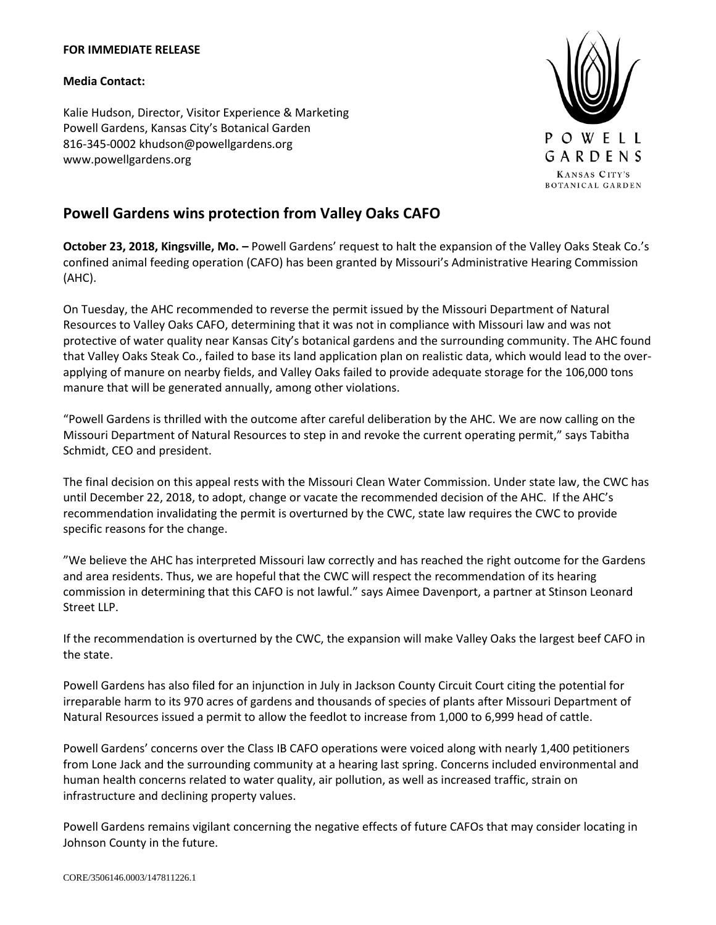## **FOR IMMEDIATE RELEASE**

## **Media Contact:**

Kalie Hudson, Director, Visitor Experience & Marketing Powell Gardens, Kansas City's Botanical Garden 816-345-0002 khudson@powellgardens.org www.powellgardens.org



## **Powell Gardens wins protection from Valley Oaks CAFO**

**October 23, 2018, Kingsville, Mo. –** Powell Gardens' request to halt the expansion of the Valley Oaks Steak Co.'s confined animal feeding operation (CAFO) has been granted by Missouri's Administrative Hearing Commission (AHC).

On Tuesday, the AHC recommended to reverse the permit issued by the Missouri Department of Natural Resources to Valley Oaks CAFO, determining that it was not in compliance with Missouri law and was not protective of water quality near Kansas City's botanical gardens and the surrounding community. The AHC found that Valley Oaks Steak Co., failed to base its land application plan on realistic data, which would lead to the overapplying of manure on nearby fields, and Valley Oaks failed to provide adequate storage for the 106,000 tons manure that will be generated annually, among other violations.

"Powell Gardens is thrilled with the outcome after careful deliberation by the AHC. We are now calling on the Missouri Department of Natural Resources to step in and revoke the current operating permit," says Tabitha Schmidt, CEO and president.

The final decision on this appeal rests with the Missouri Clean Water Commission. Under state law, the CWC has until December 22, 2018, to adopt, change or vacate the recommended decision of the AHC. If the AHC's recommendation invalidating the permit is overturned by the CWC, state law requires the CWC to provide specific reasons for the change.

"We believe the AHC has interpreted Missouri law correctly and has reached the right outcome for the Gardens and area residents. Thus, we are hopeful that the CWC will respect the recommendation of its hearing commission in determining that this CAFO is not lawful." says Aimee Davenport, a partner at Stinson Leonard Street LLP.

If the recommendation is overturned by the CWC, the expansion will make Valley Oaks the largest beef CAFO in the state.

Powell Gardens has also filed for an injunction in July in Jackson County Circuit Court citing the potential for irreparable harm to its 970 acres of gardens and thousands of species of plants after Missouri Department of Natural Resources issued a permit to allow the feedlot to increase from 1,000 to 6,999 head of cattle.

Powell Gardens' concerns over the Class IB CAFO operations were voiced along with nearly 1,400 petitioners from Lone Jack and the surrounding community at a hearing last spring. Concerns included environmental and human health concerns related to water quality, air pollution, as well as increased traffic, strain on infrastructure and declining property values.

Powell Gardens remains vigilant concerning the negative effects of future CAFOs that may consider locating in Johnson County in the future.